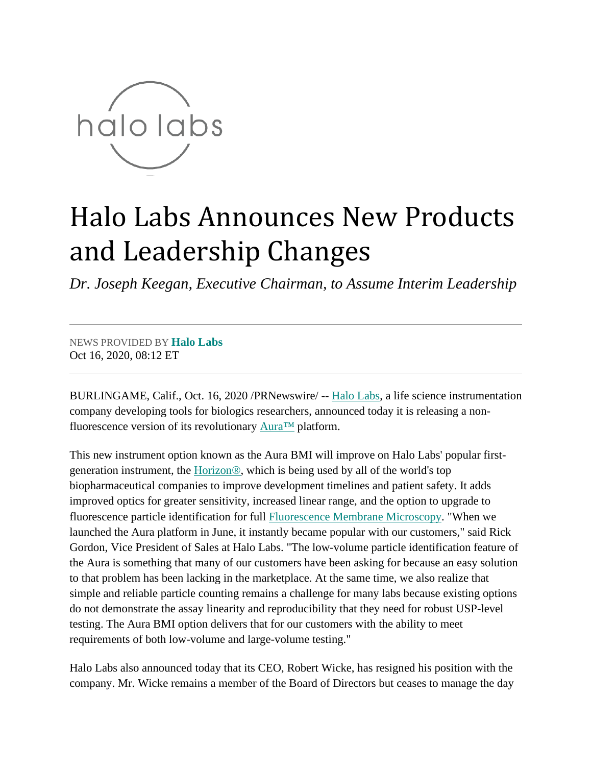

## Halo Labs Announces New Products and Leadership Changes

*Dr. Joseph Keegan, Executive Chairman, to Assume Interim Leadership*

## NEWS PROVIDED BY **[Halo Labs](https://www.prnewswire.com/news/halo-labs)** Oct 16, 2020, 08:12 ET

BURLINGAME, Calif., Oct. 16, 2020 /PRNewswire/ -- [Halo Labs,](https://c212.net/c/link/?t=0&l=en&o=2951464-1&h=1303786846&u=https%3A%2F%2Fhalolabs.com%2F&a=Halo+Labs) a life science instrumentation company developing tools for biologics researchers, announced today it is releasing a nonfluorescence version of its revolutionary [Aura™](https://c212.net/c/link/?t=0&l=en&o=2951464-1&h=7084326&u=https%3A%2F%2Fhalolabs.com%2Faura-particle-analysis%2F&a=Aura%E2%84%A2) platform.

This new instrument option known as the Aura BMI will improve on Halo Labs' popular firstgeneration instrument, the [Horizon®,](https://c212.net/c/link/?t=0&l=en&o=2951464-1&h=2455924052&u=https%3A%2F%2Fhalolabs.com%2Fhorizon-particle-analysis%2F&a=Horizon%C2%AE) which is being used by all of the world's top biopharmaceutical companies to improve development timelines and patient safety. It adds improved optics for greater sensitivity, increased linear range, and the option to upgrade to fluorescence particle identification for full [Fluorescence Membrane Microscopy.](https://c212.net/c/link/?t=0&l=en&o=2951464-1&h=1874255972&u=https%3A%2F%2Fhalolabs.com%2Ffmm-how-it-works%2F&a=Fluorescence+Membrane+Microscopy) "When we launched the Aura platform in June, it instantly became popular with our customers," said Rick Gordon, Vice President of Sales at Halo Labs. "The low-volume particle identification feature of the Aura is something that many of our customers have been asking for because an easy solution to that problem has been lacking in the marketplace. At the same time, we also realize that simple and reliable particle counting remains a challenge for many labs because existing options do not demonstrate the assay linearity and reproducibility that they need for robust USP-level testing. The Aura BMI option delivers that for our customers with the ability to meet requirements of both low-volume and large-volume testing."

Halo Labs also announced today that its CEO, Robert Wicke, has resigned his position with the company. Mr. Wicke remains a member of the Board of Directors but ceases to manage the day